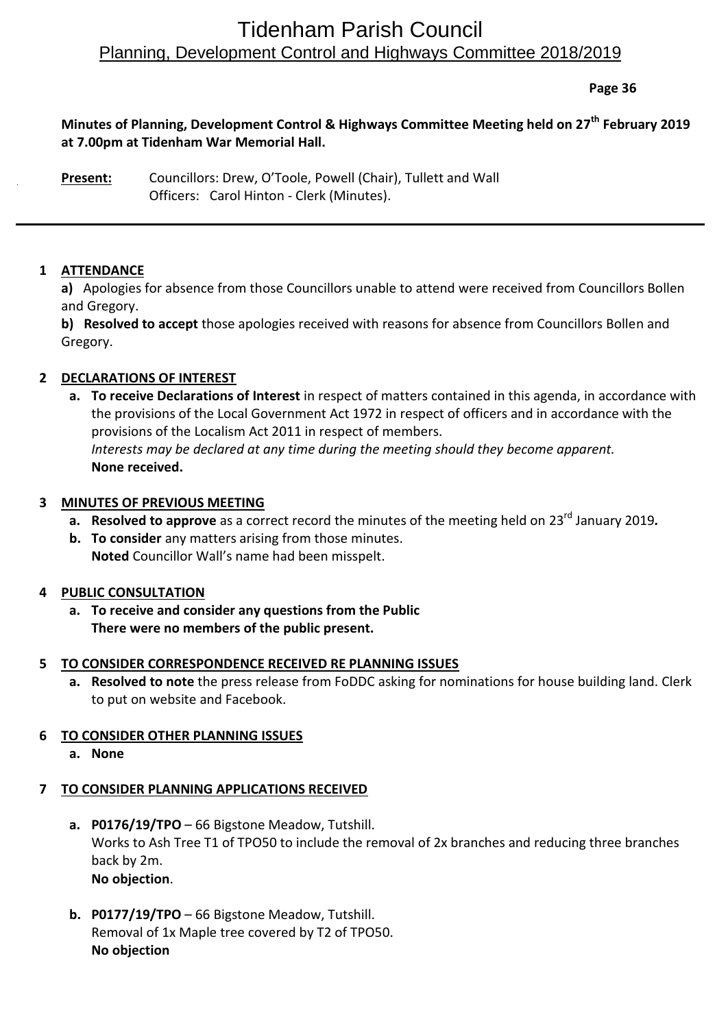# Tidenham Parish Council Planning, Development Control and Highways Committee 2018/2019

**Page 36**

# **Minutes of Planning, Development Control & Highways Committee Meeting held on 27 th February 2019 at 7.00pm at Tidenham War Memorial Hall.**

**Present:** Councillors: Drew, O'Toole, Powell (Chair), Tullett and Wall Officers: Carol Hinton - Clerk (Minutes).

# **1 ATTENDANCE**

**a)** Apologies for absence from those Councillors unable to attend were received from Councillors Bollen and Gregory.

**b) Resolved to accept** those apologies received with reasons for absence from Councillors Bollen and Gregory.

# **2 DECLARATIONS OF INTEREST**

**a. To receive Declarations of Interest** in respect of matters contained in this agenda, in accordance with the provisions of the Local Government Act 1972 in respect of officers and in accordance with the provisions of the Localism Act 2011 in respect of members. *Interests may be declared at any time during the meeting should they become apparent.* **None received.**

#### **3 MINUTES OF PREVIOUS MEETING**

- **a.** Resolved to approve as a correct record the minutes of the meeting held on 23<sup>rd</sup> January 2019.
- **b. To consider** any matters arising from those minutes. **Noted** Councillor Wall's name had been misspelt.

#### **4 PUBLIC CONSULTATION**

**a. To receive and consider any questions from the Public There were no members of the public present.**

#### **5 TO CONSIDER CORRESPONDENCE RECEIVED RE PLANNING ISSUES**

**a. Resolved to note** the press release from FoDDC asking for nominations for house building land. Clerk to put on website and Facebook.

#### **6 TO CONSIDER OTHER PLANNING ISSUES**

**a. None**

#### **7 TO CONSIDER PLANNING APPLICATIONS RECEIVED**

- **a. P0176/19/TPO** 66 Bigstone Meadow, Tutshill. Works to Ash Tree T1 of TPO50 to include the removal of 2x branches and reducing three branches back by 2m. **No objection**.
- **b. P0177/19/TPO** 66 Bigstone Meadow, Tutshill. Removal of 1x Maple tree covered by T2 of TPO50. **No objection**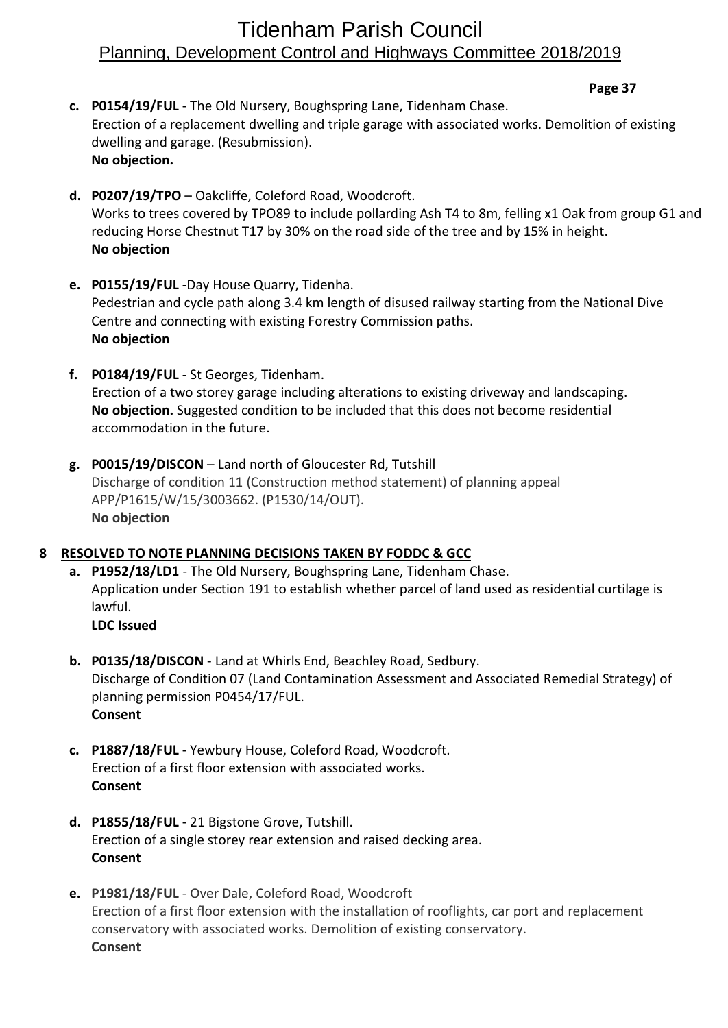# Tidenham Parish Council Planning, Development Control and Highways Committee 2018/2019

**Page 37**

- **c. P0154/19/FUL** The Old Nursery, Boughspring Lane, Tidenham Chase. Erection of a replacement dwelling and triple garage with associated works. Demolition of existing dwelling and garage. (Resubmission). **No objection.**
- **d. P0207/19/TPO** Oakcliffe, Coleford Road, Woodcroft. Works to trees covered by TPO89 to include pollarding Ash T4 to 8m, felling x1 Oak from group G1 and reducing Horse Chestnut T17 by 30% on the road side of the tree and by 15% in height. **No objection**
- **e. P0155/19/FUL** -Day House Quarry, Tidenha. Pedestrian and cycle path along 3.4 km length of disused railway starting from the National Dive Centre and connecting with existing Forestry Commission paths. **No objection**
- **f. P0184/19/FUL** St Georges, Tidenham. Erection of a two storey garage including alterations to existing driveway and landscaping. **No objection.** Suggested condition to be included that this does not become residential accommodation in the future.
- **g. P0015/19/DISCON** Land north of Gloucester Rd, Tutshill Discharge of condition 11 (Construction method statement) of planning appeal APP/P1615/W/15/3003662. (P1530/14/OUT). **No objection**

#### **8 RESOLVED TO NOTE PLANNING DECISIONS TAKEN BY FODDC & GCC**

- **a. P1952/18/LD1** The Old Nursery, Boughspring Lane, Tidenham Chase. Application under Section 191 to establish whether parcel of land used as residential curtilage is lawful. **LDC Issued**
- **b. P0135/18/DISCON** Land at Whirls End, Beachley Road, Sedbury. Discharge of Condition 07 (Land Contamination Assessment and Associated Remedial Strategy) of planning permission P0454/17/FUL. **Consent**
- **c. P1887/18/FUL** Yewbury House, Coleford Road, Woodcroft. Erection of a first floor extension with associated works. **Consent**
- **d. P1855/18/FUL** 21 Bigstone Grove, Tutshill. Erection of a single storey rear extension and raised decking area. **Consent**
- **e. P1981/18/FUL** Over Dale, Coleford Road, Woodcroft Erection of a first floor extension with the installation of rooflights, car port and replacement conservatory with associated works. Demolition of existing conservatory. **Consent**